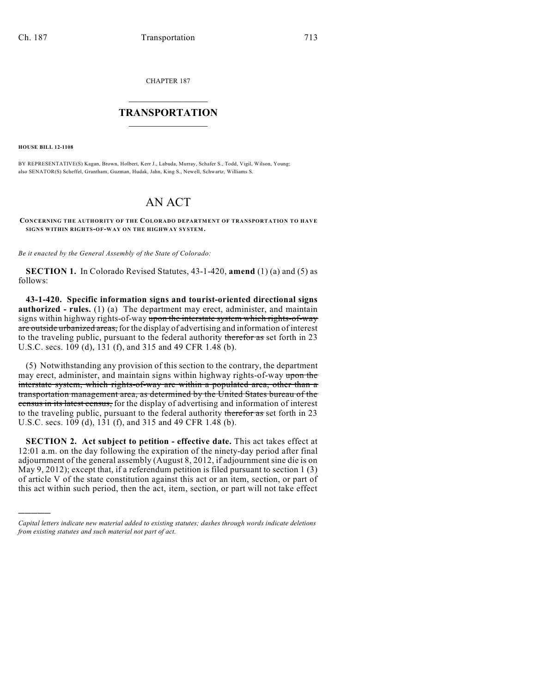CHAPTER 187

## $\overline{\phantom{a}}$  . The set of the set of the set of the set of the set of the set of the set of the set of the set of the set of the set of the set of the set of the set of the set of the set of the set of the set of the set o **TRANSPORTATION**  $\_$   $\_$   $\_$   $\_$   $\_$   $\_$   $\_$   $\_$   $\_$

**HOUSE BILL 12-1108**

)))))

BY REPRESENTATIVE(S) Kagan, Brown, Holbert, Kerr J., Labuda, Murray, Schafer S., Todd, Vigil, Wilson, Young; also SENATOR(S) Scheffel, Grantham, Guzman, Hudak, Jahn, King S., Newell, Schwartz, Williams S.

## AN ACT

**CONCERNING THE AUTHORITY OF THE COLORADO DEPARTMENT OF TRANSPORTATION TO HAVE SIGNS WITHIN RIGHTS-OF-WAY ON THE HIGHWAY SYSTEM.**

*Be it enacted by the General Assembly of the State of Colorado:*

**SECTION 1.** In Colorado Revised Statutes, 43-1-420, **amend** (1) (a) and (5) as follows:

**43-1-420. Specific information signs and tourist-oriented directional signs authorized - rules.** (1) (a) The department may erect, administer, and maintain signs within highway rights-of-way upon the interstate system which rights-of-way are outside urbanized areas, for the display of advertising and information of interest to the traveling public, pursuant to the federal authority therefor as set forth in 23 U.S.C. secs. 109 (d), 131 (f), and 315 and 49 CFR 1.48 (b).

(5) Notwithstanding any provision of this section to the contrary, the department may erect, administer, and maintain signs within highway rights-of-way upon the interstate system, which rights-of-way are within a populated area, other than a transportation management area, as determined by the United States bureau of the census in its latest census, for the display of advertising and information of interest to the traveling public, pursuant to the federal authority therefor as set forth in 23 U.S.C. secs. 109 (d), 131 (f), and 315 and 49 CFR 1.48 (b).

**SECTION 2. Act subject to petition - effective date.** This act takes effect at 12:01 a.m. on the day following the expiration of the ninety-day period after final adjournment of the general assembly (August 8, 2012, if adjournment sine die is on May 9, 2012); except that, if a referendum petition is filed pursuant to section 1 (3) of article V of the state constitution against this act or an item, section, or part of this act within such period, then the act, item, section, or part will not take effect

*Capital letters indicate new material added to existing statutes; dashes through words indicate deletions from existing statutes and such material not part of act.*